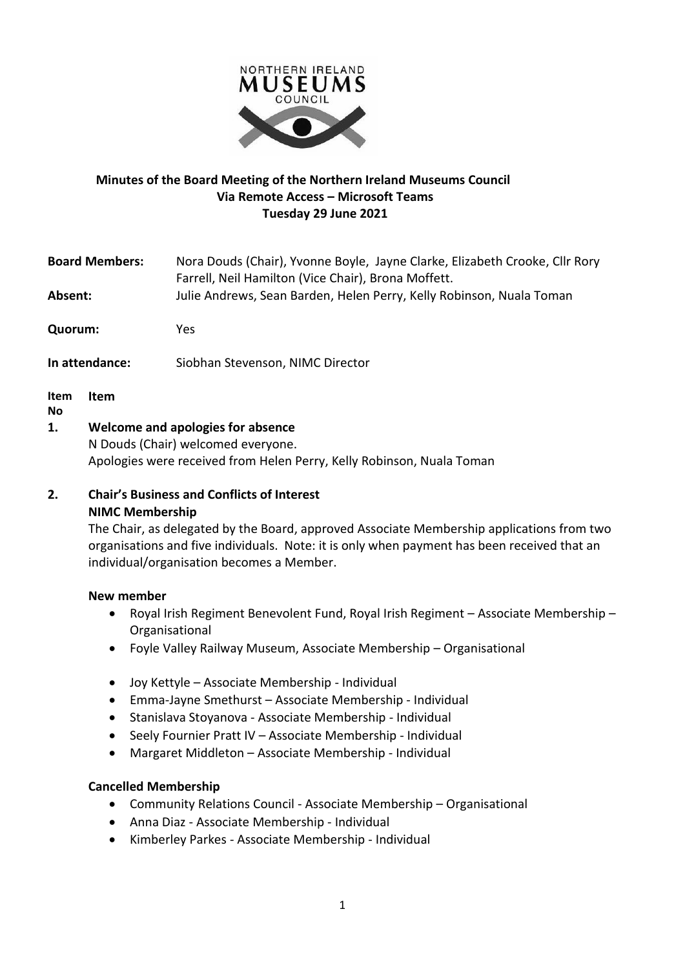

## **Minutes of the Board Meeting of the Northern Ireland Museums Council Via Remote Access – Microsoft Teams Tuesday 29 June 2021**

| <b>Board Members:</b>                  | Nora Douds (Chair), Yvonne Boyle, Jayne Clarke, Elizabeth Crooke, Cllr Rory<br>Farrell, Neil Hamilton (Vice Chair), Brona Moffett. |  |  |
|----------------------------------------|------------------------------------------------------------------------------------------------------------------------------------|--|--|
| Absent:                                | Julie Andrews, Sean Barden, Helen Perry, Kelly Robinson, Nuala Toman                                                               |  |  |
| Quorum:                                | Yes                                                                                                                                |  |  |
| In attendance:                         | Siobhan Stevenson, NIMC Director                                                                                                   |  |  |
| Item<br>Item<br><b>No</b>              |                                                                                                                                    |  |  |
| Walcomo and anglecies for absence<br>1 |                                                                                                                                    |  |  |

**1. Welcome and apologies for absence**

N Douds (Chair) welcomed everyone. Apologies were received from Helen Perry, Kelly Robinson, Nuala Toman

## **2. Chair's Business and Conflicts of Interest NIMC Membership**

The Chair, as delegated by the Board, approved Associate Membership applications from two organisations and five individuals. Note: it is only when payment has been received that an individual/organisation becomes a Member.

## **New member**

- Royal Irish Regiment Benevolent Fund, Royal Irish Regiment Associate Membership Organisational
- Foyle Valley Railway Museum, Associate Membership Organisational
- Joy Kettyle Associate Membership Individual
- Emma-Jayne Smethurst Associate Membership Individual
- Stanislava Stoyanova Associate Membership Individual
- Seely Fournier Pratt IV Associate Membership Individual
- Margaret Middleton Associate Membership Individual

## **Cancelled Membership**

- Community Relations Council Associate Membership Organisational
- Anna Diaz Associate Membership Individual
- Kimberley Parkes Associate Membership Individual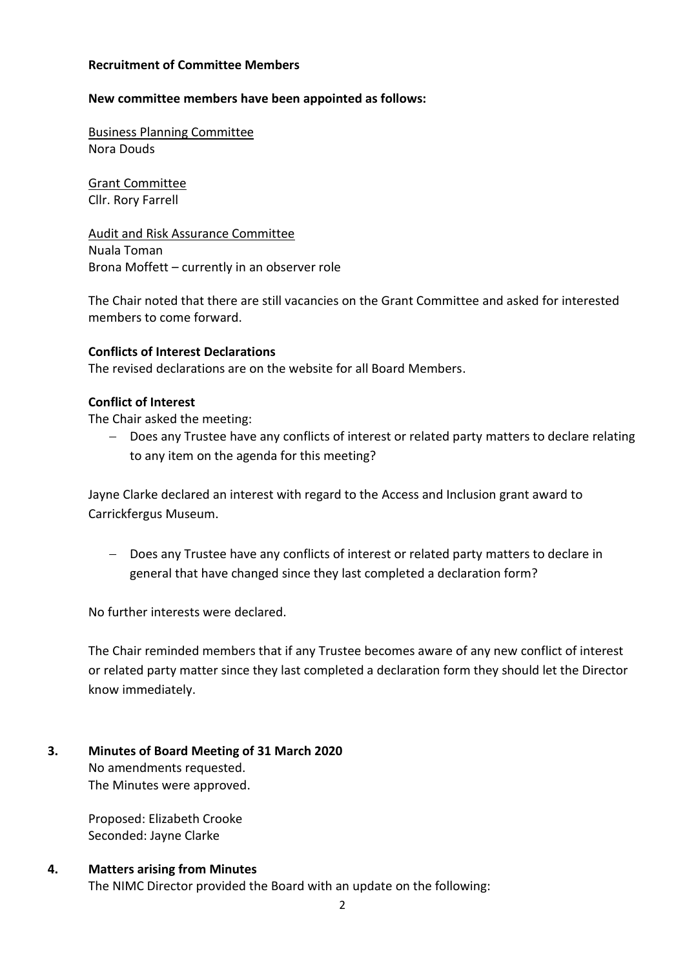#### **Recruitment of Committee Members**

#### **New committee members have been appointed as follows:**

Business Planning Committee Nora Douds

Grant Committee Cllr. Rory Farrell

Audit and Risk Assurance Committee Nuala Toman Brona Moffett – currently in an observer role

The Chair noted that there are still vacancies on the Grant Committee and asked for interested members to come forward.

#### **Conflicts of Interest Declarations**

The revised declarations are on the website for all Board Members.

#### **Conflict of Interest**

The Chair asked the meeting:

− Does any Trustee have any conflicts of interest or related party matters to declare relating to any item on the agenda for this meeting?

Jayne Clarke declared an interest with regard to the Access and Inclusion grant award to Carrickfergus Museum.

− Does any Trustee have any conflicts of interest or related party matters to declare in general that have changed since they last completed a declaration form?

No further interests were declared.

The Chair reminded members that if any Trustee becomes aware of any new conflict of interest or related party matter since they last completed a declaration form they should let the Director know immediately.

**3. Minutes of Board Meeting of 31 March 2020** No amendments requested. The Minutes were approved.

> Proposed: Elizabeth Crooke Seconded: Jayne Clarke

#### **4. Matters arising from Minutes**

The NIMC Director provided the Board with an update on the following: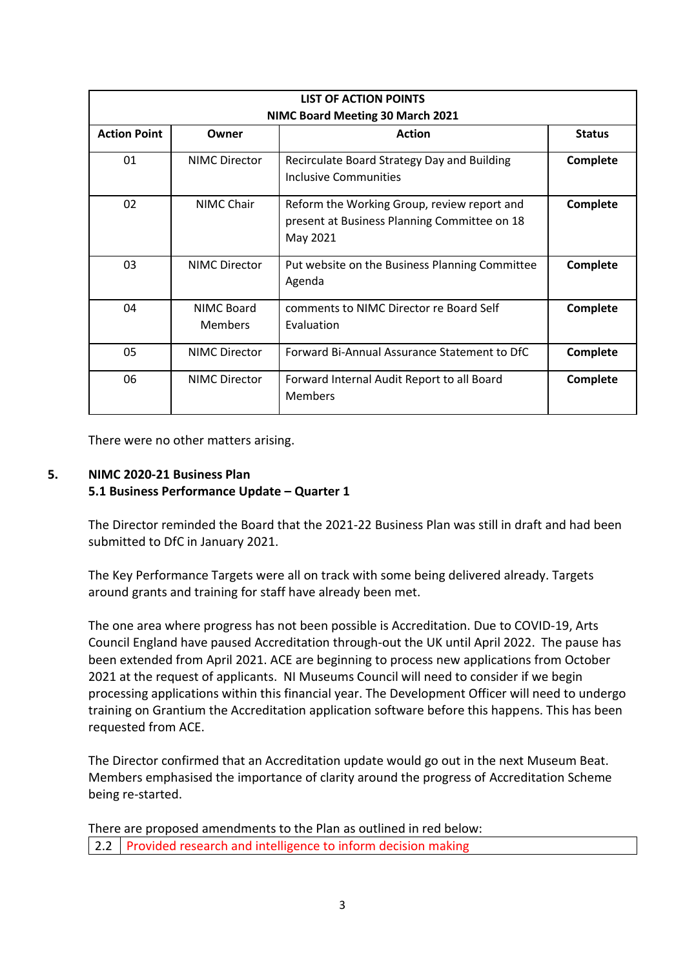| <b>LIST OF ACTION POINTS</b> |                              |                                                                                                         |                 |  |  |  |
|------------------------------|------------------------------|---------------------------------------------------------------------------------------------------------|-----------------|--|--|--|
| <b>Action Point</b>          | Owner                        | NIMC Board Meeting 30 March 2021<br><b>Action</b>                                                       | <b>Status</b>   |  |  |  |
| 01                           | <b>NIMC Director</b>         | Recirculate Board Strategy Day and Building<br>Inclusive Communities                                    | Complete        |  |  |  |
| 02                           | NIMC Chair                   | Reform the Working Group, review report and<br>present at Business Planning Committee on 18<br>May 2021 | <b>Complete</b> |  |  |  |
| 03                           | <b>NIMC Director</b>         | Put website on the Business Planning Committee<br>Agenda                                                | <b>Complete</b> |  |  |  |
| 04                           | NIMC Board<br><b>Members</b> | comments to NIMC Director re Board Self<br>Evaluation                                                   | <b>Complete</b> |  |  |  |
| 05                           | <b>NIMC Director</b>         | Forward Bi-Annual Assurance Statement to DfC                                                            | Complete        |  |  |  |
| 06                           | <b>NIMC Director</b>         | Forward Internal Audit Report to all Board<br><b>Members</b>                                            | Complete        |  |  |  |

There were no other matters arising.

## **5. NIMC 2020-21 Business Plan 5.1 Business Performance Update – Quarter 1**

The Director reminded the Board that the 2021-22 Business Plan was still in draft and had been submitted to DfC in January 2021.

The Key Performance Targets were all on track with some being delivered already. Targets around grants and training for staff have already been met.

The one area where progress has not been possible is Accreditation. Due to COVID-19, Arts Council England have paused Accreditation through-out the UK until April 2022. The pause has been extended from April 2021. ACE are beginning to process new applications from October 2021 at the request of applicants. NI Museums Council will need to consider if we begin processing applications within this financial year. The Development Officer will need to undergo training on Grantium the Accreditation application software before this happens. This has been requested from ACE.

The Director confirmed that an Accreditation update would go out in the next Museum Beat. Members emphasised the importance of clarity around the progress of Accreditation Scheme being re-started.

There are proposed amendments to the Plan as outlined in red below: 2.2 Provided research and intelligence to inform decision making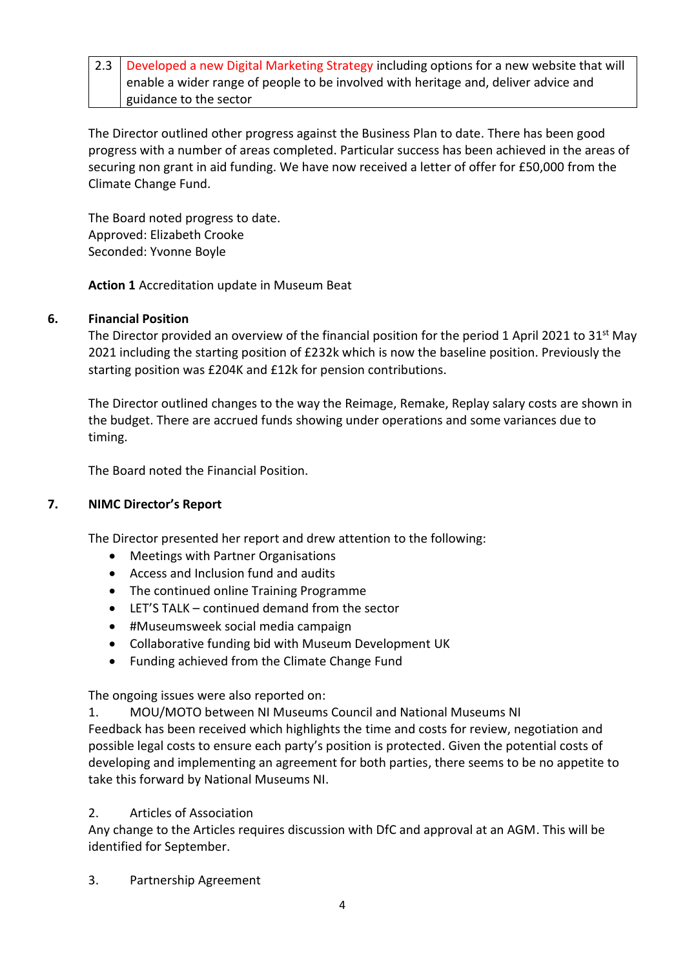2.3 Developed a new Digital Marketing Strategy including options for a new website that will enable a wider range of people to be involved with heritage and, deliver advice and guidance to the sector

The Director outlined other progress against the Business Plan to date. There has been good progress with a number of areas completed. Particular success has been achieved in the areas of securing non grant in aid funding. We have now received a letter of offer for £50,000 from the Climate Change Fund.

The Board noted progress to date. Approved: Elizabeth Crooke Seconded: Yvonne Boyle

**Action 1** Accreditation update in Museum Beat

## **6. Financial Position**

The Director provided an overview of the financial position for the period 1 April 2021 to 31<sup>st</sup> May 2021 including the starting position of £232k which is now the baseline position. Previously the starting position was £204K and £12k for pension contributions.

The Director outlined changes to the way the Reimage, Remake, Replay salary costs are shown in the budget. There are accrued funds showing under operations and some variances due to timing.

The Board noted the Financial Position.

# **7. NIMC Director's Report**

The Director presented her report and drew attention to the following:

- Meetings with Partner Organisations
- Access and Inclusion fund and audits
- The continued online Training Programme
- LET'S TALK continued demand from the sector
- #Museumsweek social media campaign
- Collaborative funding bid with Museum Development UK
- Funding achieved from the Climate Change Fund

The ongoing issues were also reported on:

1. MOU/MOTO between NI Museums Council and National Museums NI

Feedback has been received which highlights the time and costs for review, negotiation and possible legal costs to ensure each party's position is protected. Given the potential costs of developing and implementing an agreement for both parties, there seems to be no appetite to take this forward by National Museums NI.

# 2. Articles of Association

Any change to the Articles requires discussion with DfC and approval at an AGM. This will be identified for September.

3. Partnership Agreement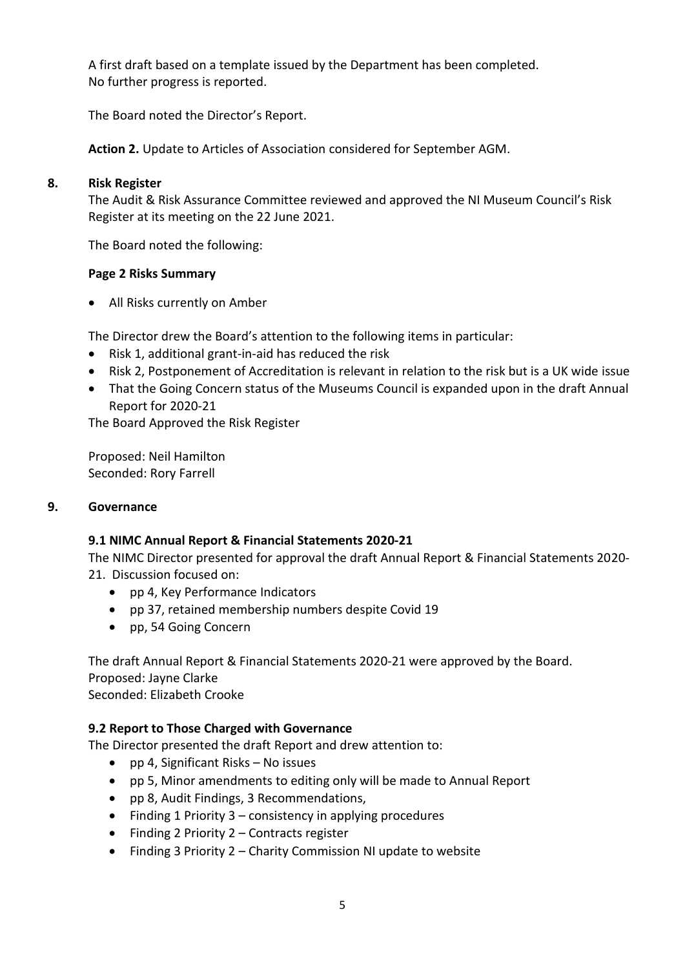A first draft based on a template issued by the Department has been completed. No further progress is reported.

The Board noted the Director's Report.

**Action 2.** Update to Articles of Association considered for September AGM.

## **8. Risk Register**

The Audit & Risk Assurance Committee reviewed and approved the NI Museum Council's Risk Register at its meeting on the 22 June 2021.

The Board noted the following:

## **Page 2 Risks Summary**

• All Risks currently on Amber

The Director drew the Board's attention to the following items in particular:

- Risk 1, additional grant-in-aid has reduced the risk
- Risk 2, Postponement of Accreditation is relevant in relation to the risk but is a UK wide issue
- That the Going Concern status of the Museums Council is expanded upon in the draft Annual Report for 2020-21

The Board Approved the Risk Register

Proposed: Neil Hamilton Seconded: Rory Farrell

## **9. Governance**

## **9.1 NIMC Annual Report & Financial Statements 2020-21**

The NIMC Director presented for approval the draft Annual Report & Financial Statements 2020- 21. Discussion focused on:

- pp 4, Key Performance Indicators
- pp 37, retained membership numbers despite Covid 19
- pp, 54 Going Concern

The draft Annual Report & Financial Statements 2020-21 were approved by the Board. Proposed: Jayne Clarke

Seconded: Elizabeth Crooke

# **9.2 Report to Those Charged with Governance**

The Director presented the draft Report and drew attention to:

- pp 4, Significant Risks No issues
- pp 5, Minor amendments to editing only will be made to Annual Report
- pp 8, Audit Findings, 3 Recommendations,
- $\bullet$  Finding 1 Priority 3 consistency in applying procedures
- Finding 2 Priority 2 Contracts register
- Finding 3 Priority 2 Charity Commission NI update to website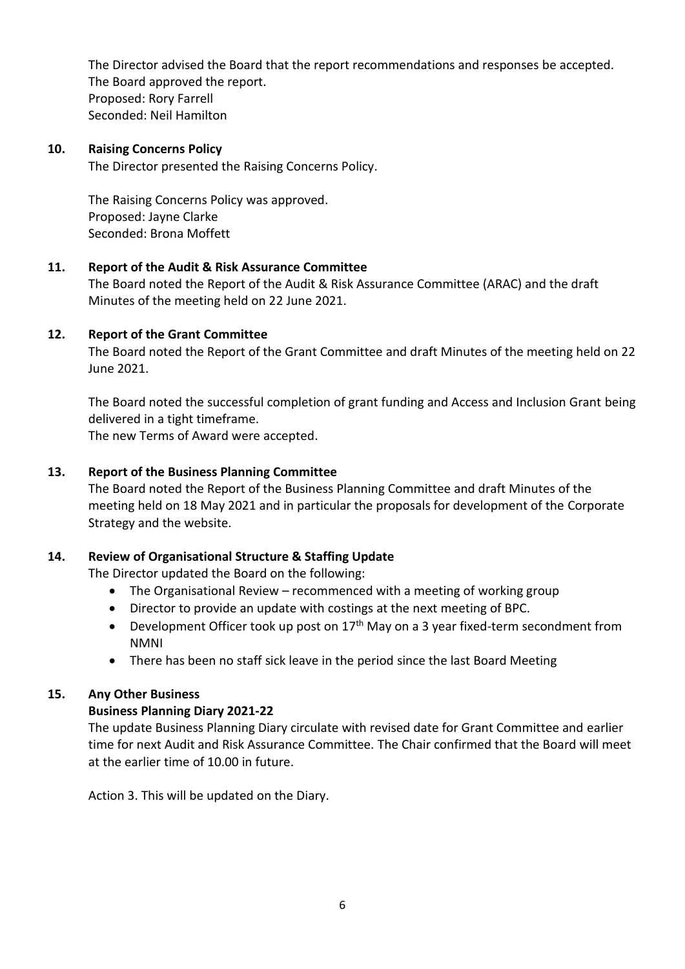The Director advised the Board that the report recommendations and responses be accepted. The Board approved the report. Proposed: Rory Farrell Seconded: Neil Hamilton

#### **10. Raising Concerns Policy**

The Director presented the Raising Concerns Policy.

The Raising Concerns Policy was approved. Proposed: Jayne Clarke Seconded: Brona Moffett

#### **11. Report of the Audit & Risk Assurance Committee**

The Board noted the Report of the Audit & Risk Assurance Committee (ARAC) and the draft Minutes of the meeting held on 22 June 2021.

#### **12. Report of the Grant Committee**

The Board noted the Report of the Grant Committee and draft Minutes of the meeting held on 22 June 2021.

The Board noted the successful completion of grant funding and Access and Inclusion Grant being delivered in a tight timeframe.

The new Terms of Award were accepted.

#### **13. Report of the Business Planning Committee**

The Board noted the Report of the Business Planning Committee and draft Minutes of the meeting held on 18 May 2021 and in particular the proposals for development of the Corporate Strategy and the website.

## **14. Review of Organisational Structure & Staffing Update**

The Director updated the Board on the following:

- The Organisational Review recommenced with a meeting of working group
- Director to provide an update with costings at the next meeting of BPC.
- Development Officer took up post on  $17<sup>th</sup>$  May on a 3 year fixed-term secondment from NMNI
- There has been no staff sick leave in the period since the last Board Meeting

#### **15. Any Other Business**

## **Business Planning Diary 2021-22**

The update Business Planning Diary circulate with revised date for Grant Committee and earlier time for next Audit and Risk Assurance Committee. The Chair confirmed that the Board will meet at the earlier time of 10.00 in future.

Action 3. This will be updated on the Diary.